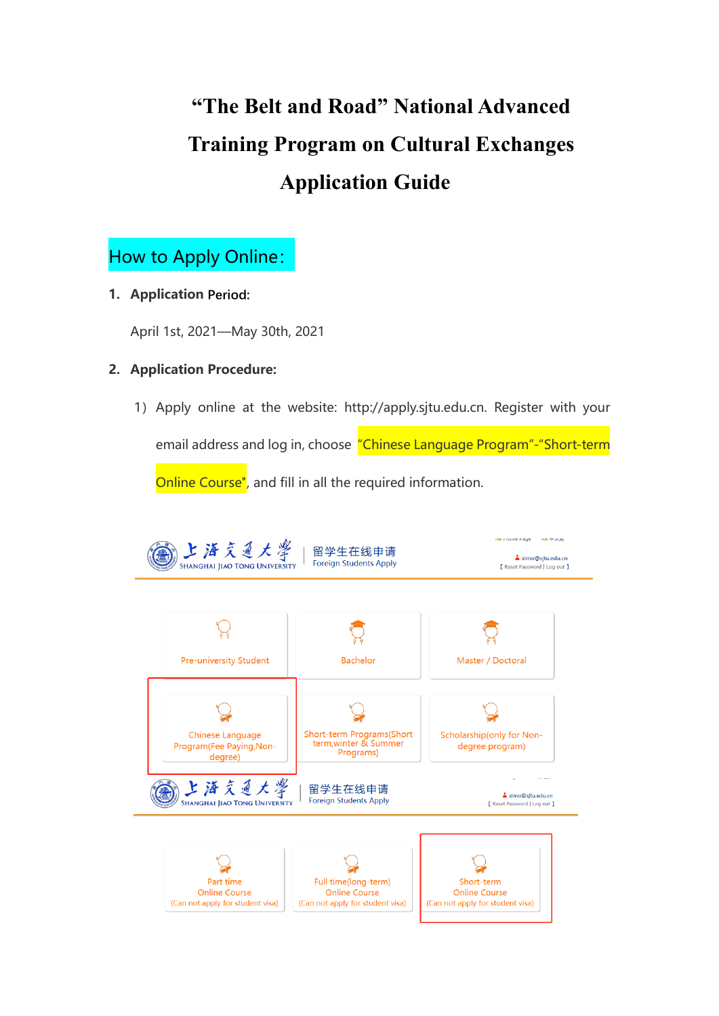# **"The Belt and Road" National Advanced Training Program on Cultural Exchanges Application Guide**

### How to Apply Online:

**1. Application Period:** 

April 1st, 2021—May 30th, 2021

#### **2. Application Procedure:**

1)Apply online at the website: [http://apply.sjtu.edu.cn.](http://apply.sjtu.edu.cn/) Register with your

email address and log in, choose "Chinese Language Program"-"Short-term Online Course", and fill in all the required information.

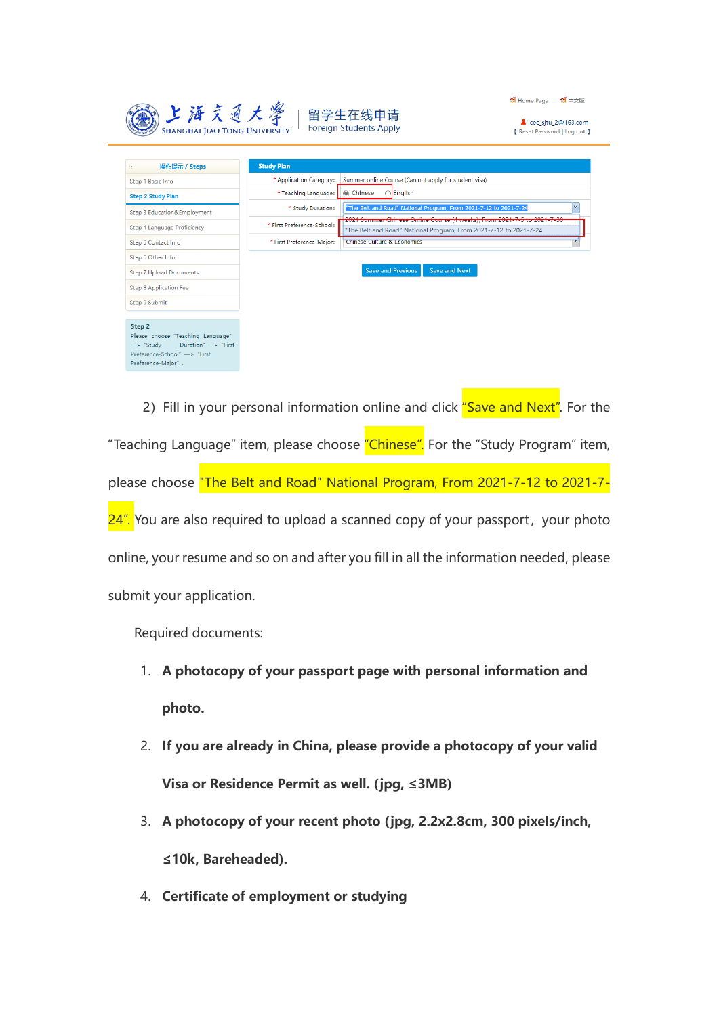| 上海交通大學<br><b>SHANGHAI JIAO TONG UNIVERSITY</b>                              | 留学生在线申请<br><b>Foreign Students Apply</b>                                         | 4 中文版<br>Home Page<br>icec situ 2@163.com<br>[ Reset Password   Log out ]                                                                    |
|-----------------------------------------------------------------------------|----------------------------------------------------------------------------------|----------------------------------------------------------------------------------------------------------------------------------------------|
| 操作提示 / Steps<br>$\begin{array}{c} \quad \text{III} \end{array}$             | <b>Study Plan</b>                                                                |                                                                                                                                              |
| Step 1 Basic Info                                                           | Summer online Course (Can not apply for student visa)<br>* Application Category: |                                                                                                                                              |
| <b>Step 2 Study Plan</b>                                                    | $\bigcirc$ English<br>* Teaching Language:<br>◎ Chinese                          |                                                                                                                                              |
| Step 3 Education&Employment                                                 | * Study Duration:                                                                | $\mathbf{v}$<br>"The Belt and Road" National Program, From 2021-7-12 to 2021-7-24                                                            |
| Step 4 Language Proficiency                                                 | * First Preference-School:                                                       | 2021 Summer Chinese Online Course (4 weeks), From 2021-7-5 to 2021-7-30<br>"The Belt and Road" National Program, From 2021-7-12 to 2021-7-24 |
| Step 5 Contact Info                                                         | <b>Chinese Culture &amp; Economics</b><br>* First Preference-Major:              |                                                                                                                                              |
| Step 6 Other Info                                                           |                                                                                  |                                                                                                                                              |
| <b>Step 7 Upload Documents</b>                                              | <b>Save and Previous</b><br><b>Save and Next</b>                                 |                                                                                                                                              |
| <b>Step 8 Application Fee</b>                                               |                                                                                  |                                                                                                                                              |
| Step 9 Submit                                                               |                                                                                  |                                                                                                                                              |
| Step 2                                                                      |                                                                                  |                                                                                                                                              |
| Please choose "Teaching Language"                                           |                                                                                  |                                                                                                                                              |
| Duration" -> "First<br>$\rightarrow$ "Study<br>Preference-School" -> "First |                                                                                  |                                                                                                                                              |
| Preference-Major".                                                          |                                                                                  |                                                                                                                                              |

2) Fill in your personal information online and click "Save and Next". For the "Teaching Language" item, please choose "Chinese". For the "Study Program" item, please choose "The Belt and Road" National Program, From 2021-7-12 to 2021-7- 24". You are also required to upload a scanned copy of your passport, your photo online, your resume and so on and after you fill in all the information needed, please submit your application.

Required documents:

- 1. **A photocopy of your passport page with personal information and photo.**
- 2. **If you are already in China, please provide a photocopy of your valid Visa or Residence Permit as well. (jpg, ≤3MB)**
- 3. **A photocopy of your recent photo (jpg, 2.2x2.8cm, 300 pixels/inch, ≤10k, Bareheaded).**
- 4. **Certificate of employment or studying**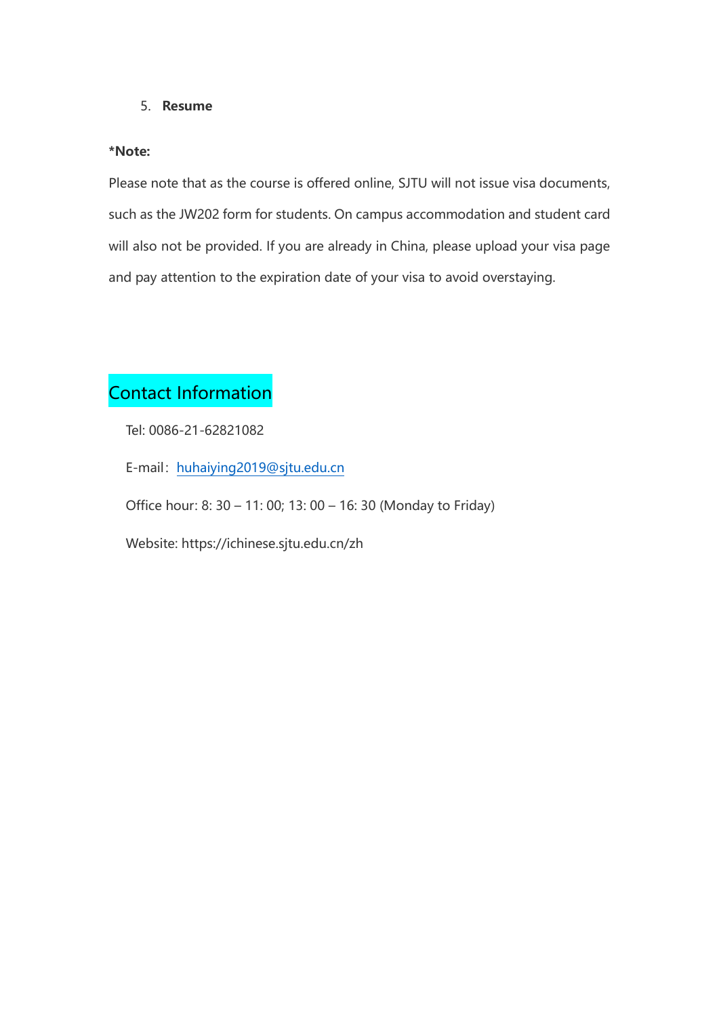#### 5. **Resume**

#### **\*Note:**

Please note that as the course is offered online, SJTU will not issue visa documents, such as the JW202 form for students. On campus accommodation and student card will also not be provided. If you are already in China, please upload your visa page and pay attention to the expiration date of your visa to avoid overstaying.

## Contact Information

Tel: 0086-21-62821082

E-mail: [huhaiying2019@sjtu.edu.cn](mailto:huhaiying2019@sjtu.edu.cn)

Office hour: 8: 30 – 11: 00; 13: 00 – 16: 30 (Monday to Friday)

Website: https://ichinese.sjtu.edu.cn/zh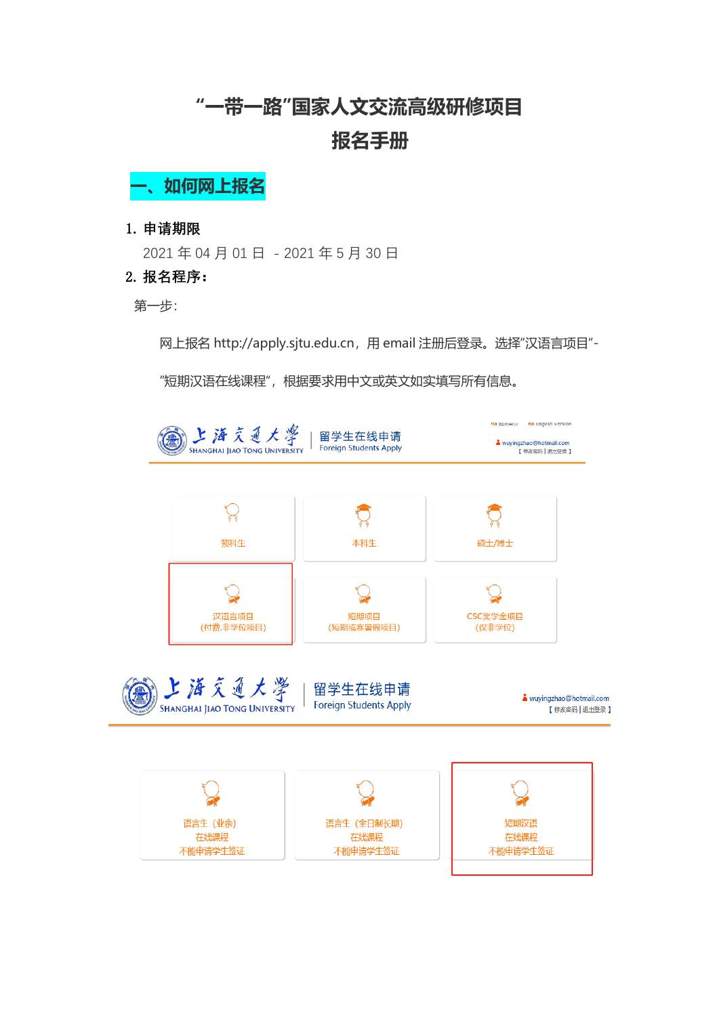## **"一带一路"国家人文交流高级研修项目 报名手册**

**一、如何网上报名**

1. **申请期限**

2021 年 04 月 01 日 - 2021 年 5 月 30 日

2. **报名程序:**

第一步:

网上报名 [http://apply.sjtu.edu.cn](http://apply.sjtu.edu.cn/), 用 email 注册后登录。选择"汉语言项目"-

"短期汉语在线课程",根据要求用中文或英文如实填写所有信息。

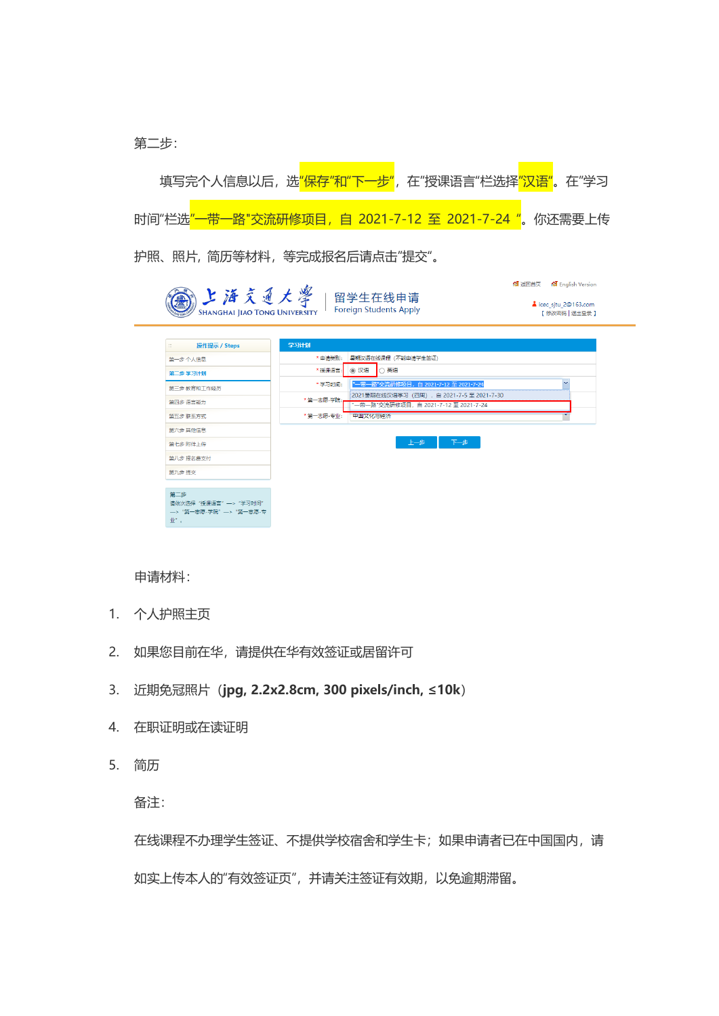第二步:

填写完个人信息以后,选"保存"和"下一步",在"授课语言"栏选择<mark>"汉语"</mark>。在"学习 时间"栏选"一带一路"交流研修项目, 自 2021-7-12 至 2021-7-24 "。你还需要上传 护照、照片, 简历等材料,等完成报名后请点击"提交"。

**4** 返回首页 ● 1 English Version ( 上海交通大學 留学生在线申请 icec\_sjtu\_2@163.com Foreign Students Apply **SHANGHAI IIAO TONG UNIVERSITY** 【 修改密码 | 退出登录 】 操作提示 / Steps 学习计划 \* 申请类别: <sup>|</sup> 暑期汉语在线课程 (不能申请学生签证) 第一步 个人信息 \* 授课语言: ◎ 汉语 ◎ 天语 第二步 学习计划 -<br>"一带一路"交流研修项目, 自 2021-7-12 至 2021-7-24 \* 学习时间: 第三步 教育和工作经历 \* 第一志愿-学院: 「2021暴期在线汉语学习(四周),自 2021-7-5 至 2021-7-30<br>- 第一志愿-学院: 「 <sup>-</sup> 一帯一路"交流研修项目,自 2021-7-12 至 2021-7-24<br>- 第一志愿-专业: 『 中国文化与姓:※ 筆四步 语言能力 第五步 联系方式 第六步 其他信息 第七步 附件上传 上一步 下一步 第八步 报名费支付 第九步 提交 第二步 第二シ<br>请依次选择"授课语言"—>"学习时间"  $\Psi^{\mu}$  .

申请材料:

- 1. 个人护照主页
- 2. 如果您目前在华,请提供在华有效签证或居留许可
- 3. 近期免冠照片(**jpg, 2.2x2.8cm, 300 pixels/inch, ≤10k**)
- 4. 在职证明或在读证明
- 5. 简历

备注:

在线课程不办理学生签证、不提供学校宿舍和学生卡;如果申请者已在中国国内,请 如实上传本人的"有效签证页",并请关注签证有效期,以免逾期滞留。